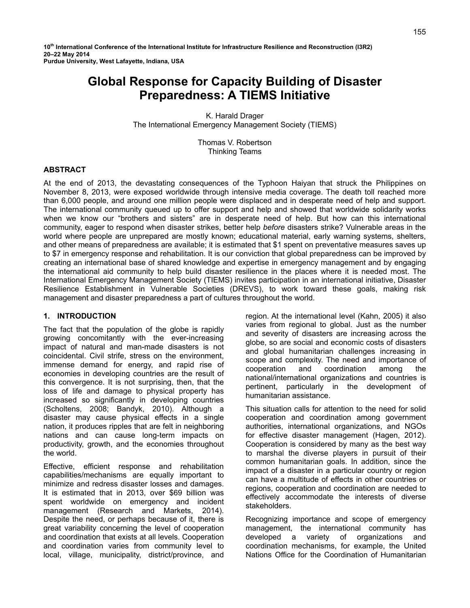**10th International Conference of the International Institute for Infrastructure Resilience and Reconstruction (I3R2) 20–22 May 2014 Purdue University, West Lafayette, Indiana, USA** 

# **Global Response for Capacity Building of Disaster Preparedness: A TIEMS Initiative**

K. Harald Drager The International Emergency Management Society (TIEMS)

> Thomas V. Robertson Thinking Teams

# **ABSTRACT**

At the end of 2013, the devastating consequences of the Typhoon Haiyan that struck the Philippines on November 8, 2013, were exposed worldwide through intensive media coverage. The death toll reached more than 6,000 people, and around one million people were displaced and in desperate need of help and support. The international community queued up to offer support and help and showed that worldwide solidarity works when we know our "brothers and sisters" are in desperate need of help. But how can this international community, eager to respond when disaster strikes, better help *before* disasters strike? Vulnerable areas in the world where people are unprepared are mostly known; educational material, early warning systems, shelters, and other means of preparedness are available; it is estimated that \$1 spent on preventative measures saves up to \$7 in emergency response and rehabilitation. It is our conviction that global preparedness can be improved by creating an international base of shared knowledge and expertise in emergency management and by engaging the international aid community to help build disaster resilience in the places where it is needed most. The International Emergency Management Society (TIEMS) invites participation in an international initiative, Disaster Resilience Establishment in Vulnerable Societies (DREVS), to work toward these goals, making risk management and disaster preparedness a part of cultures throughout the world.

#### **1. INTRODUCTION**

The fact that the population of the globe is rapidly growing concomitantly with the ever-increasing impact of natural and man-made disasters is not coincidental. Civil strife, stress on the environment, immense demand for energy, and rapid rise of economies in developing countries are the result of this convergence. It is not surprising, then, that the loss of life and damage to physical property has increased so significantly in developing countries (Scholtens, 2008; Bandyk, 2010). Although a disaster may cause physical effects in a single nation, it produces ripples that are felt in neighboring nations and can cause long-term impacts on productivity, growth, and the economies throughout the world.

Effective, efficient response and rehabilitation capabilities/mechanisms are equally important to minimize and redress disaster losses and damages. It is estimated that in 2013, over \$69 billion was spent worldwide on emergency and incident management (Research and Markets, 2014). Despite the need, or perhaps because of it, there is great variability concerning the level of cooperation and coordination that exists at all levels. Cooperation and coordination varies from community level to local, village, municipality, district/province, and

region. At the international level (Kahn, 2005) it also varies from regional to global. Just as the number and severity of disasters are increasing across the globe, so are social and economic costs of disasters and global humanitarian challenges increasing in scope and complexity. The need and importance of cooperation and coordination among the national/international organizations and countries is pertinent, particularly in the development of humanitarian assistance.

This situation calls for attention to the need for solid cooperation and coordination among government authorities, international organizations, and NGOs for effective disaster management (Hagen, 2012). Cooperation is considered by many as the best way to marshal the diverse players in pursuit of their common humanitarian goals. In addition, since the impact of a disaster in a particular country or region can have a multitude of effects in other countries or regions, cooperation and coordination are needed to effectively accommodate the interests of diverse stakeholders.

Recognizing importance and scope of emergency management, the international community has developed a variety of organizations and coordination mechanisms, for example, the United Nations Office for the Coordination of Humanitarian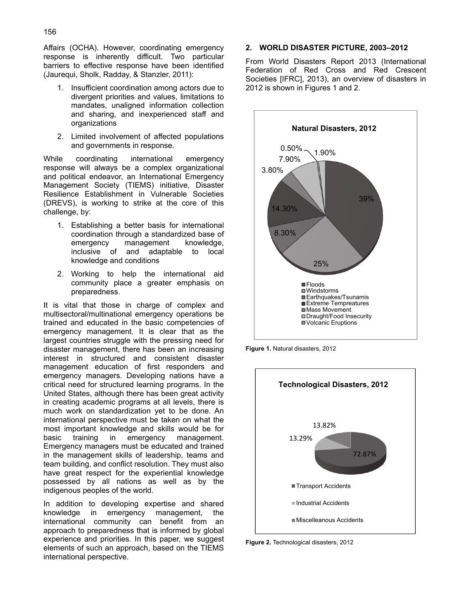Affairs (OCHA). However, coordinating emergency response is inherently difficult. Two particular barriers to effective response have been identified (Jaurequi, Sholk, Radday, & Stanzler, 2011):

- 1. Insufficient coordination among actors due to divergent priorities and values, limitations to mandates, unaligned information collection and sharing, and inexperienced staff and organizations
- 2. Limited involvement of affected populations and governments in response.

While coordinating international emergency response will always be a complex organizational and political endeavor, an International Emergency Management Society (TIEMS) initiative, Disaster Resilience Establishment in Vulnerable Societies (DREVS), is working to strike at the core of this challenge, by:

- 1. Establishing a better basis for international coordination through a standardized base of emergency management knowledge, inclusive of and adaptable to local knowledge and conditions
- 2. Working to help the international aid community place a greater emphasis on preparedness.

It is vital that those in charge of complex and multisectoral/multinational emergency operations be trained and educated in the basic competencies of emergency management. It is clear that as the largest countries struggle with the pressing need for disaster management, there has been an increasing interest in structured and consistent disaster management education of first responders and emergency managers. Developing nations have a critical need for structured learning programs. In the United States, although there has been great activity in creating academic programs at all levels, there is much work on standardization yet to be done. An international perspective must be taken on what the most important knowledge and skills would be for basic training in emergency management. Emergency managers must be educated and trained in the management skills of leadership, teams and team building, and conflict resolution. They must also have great respect for the experiential knowledge possessed by all nations as well as by the indigenous peoples of the world.

In addition to developing expertise and shared knowledge in emergency management, the international community can benefit from an approach to preparedness that is informed by global experience and priorities. In this paper, we suggest elements of such an approach, based on the TIEMS international perspective.

#### **2. WORLD DISASTER PICTURE, 2003–2012**

From World Disasters Report 2013 (International Federation of Red Cross and Red Crescent Societies [IFRC], 2013), an overview of disasters in 2012 is shown in Figures 1 and 2.



**Figure 1.** Natural disasters, 2012



**Figure 2.** Technological disasters, 2012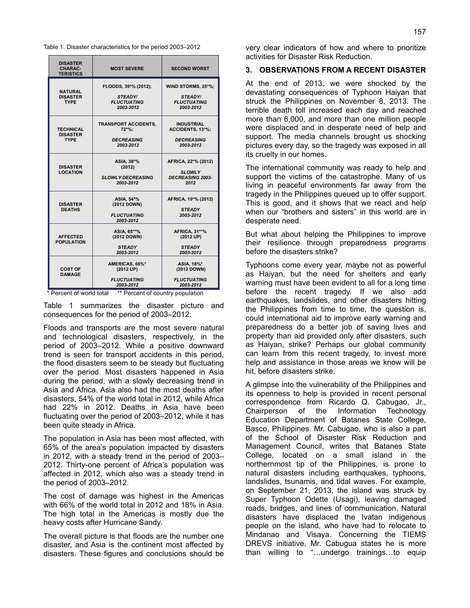Table 1. Disaster characteristics for the period 2003–2012

| <b>DISASTER</b><br><b>CHARAC-</b><br><b>TERISTICS</b> | <b>MOST SEVERE</b>                                                        | <b>SECOND WORST</b>                                                     |
|-------------------------------------------------------|---------------------------------------------------------------------------|-------------------------------------------------------------------------|
| <b>NATURAL</b><br><b>DISASTER</b><br><b>TYPE</b>      | FLOODS, 39*% (2012);<br><b>STEADY/</b><br><b>FLUCTUATING</b><br>2003-2012 | WIND STORMS, 25*%;<br><b>STEADY/</b><br><b>FLUCTUATING</b><br>2003-2012 |
| <b>TECHNICAL</b><br><b>DISASTER</b><br><b>TYPE</b>    | <b>TRANSPORT ACCIDENTS,</b><br>$72*%:$<br><b>DECREASING</b><br>2003-2012  | <b>INDUSTRIAL</b><br>ACCIDENTS, 13*%;<br><b>DECREASING</b><br>2003-2012 |
| <b>DISASTER</b><br><b>LOCATION</b>                    | ASIA, 38*%<br>(2012)<br><b>SLOWLY DECREASING</b><br>2003-2012             | AFRICA, 22*% (2012)<br><b>SLOWLY</b><br><b>DECREASING 2003-</b><br>2012 |
| <b>DISASTER</b><br><b>DEATHS</b>                      | ASIA. 54*%<br>(2012 DOWN)<br><b>FLUCTUATING</b><br>2003-2012              | AFRICA, 19*% (2012)<br><b>STEADY</b><br>2003-2012                       |
| <b>AFFECTED</b><br><b>POPULATION</b>                  | ASIA, 65**%<br>(2012 DOWN)<br><b>STEADY</b><br>2003-2012                  | <b>AFRICA, 31**%</b><br>(2012 UP)<br><b>STEADY</b><br>2003-2012         |
| <b>COST OF</b><br><b>DAMAGE</b>                       | AMERICAS, 66%*<br>(2012 UP)<br><b>FLUCTUATING</b><br>2003-2012            | ASIA. 18%*<br>(2012 DOWN)<br><b>FLUCTUATING</b><br>2003-2012            |

\* Percent of world total \*\* Percent of country population

Table 1 summarizes the disaster picture and consequences for the period of 2003–2012:

Floods and transports are the most severe natural and technological disasters, respectively, in the period of 2003–2012. While a positive downward trend is seen for transport accidents in this period, the flood disasters seem to be steady but fluctuating over the period. Most disasters happened in Asia during the period, with a slowly decreasing trend in Asia and Africa. Asia also had the most deaths after disasters, 54% of the world total in 2012, while Africa had 22% in 2012. Deaths in Asia have been fluctuating over the period of 2003–2012, while it has been quite steady in Africa.

The population in Asia has been most affected, with 65% of the area's population impacted by disasters in 2012, with a steady trend in the period of 2003– 2012. Thirty-one percent of Africa's population was affected in 2012, which also was a steady trend in the period of 2003–2012.

The cost of damage was highest in the Americas with 66% of the world total in 2012 and 18% in Asia. The high total in the Americas is mostly due the heavy costs after Hurricane Sandy.

The overall picture is that floods are the number one disaster, and Asia is the continent most affected by disasters. These figures and conclusions should be very clear indicators of how and where to prioritize activities for Disaster Risk Reduction.

#### **3. OBSERVATIONS FROM A RECENT DISASTER**

At the end of 2013, we were shocked by the devastating consequences of Typhoon Haiyan that struck the Philippines on November 8, 2013. The terrible death toll increased each day and reached more than 6,000, and more than one million people were displaced and in desperate need of help and support. The media channels brought us shocking pictures every day, so the tragedy was exposed in all its cruelty in our homes.

The international community was ready to help and support the victims of the catastrophe. Many of us living in peaceful environments far away from the tragedy in the Philippines queued up to offer support. This is good, and it shows that we react and help when our "brothers and sisters" in this world are in desperate need.

But what about helping the Philippines to improve their resilience through preparedness programs before the disasters strike?

Typhoons come every year, maybe not as powerful as Haiyan, but the need for shelters and early warning must have been evident to all for a long time before the recent tragedy. If we also add earthquakes, landslides, and other disasters hitting the Philippines from time to time, the question is, could international aid to improve early warning and preparedness do a better job of saving lives and property than aid provided only after disasters, such as Haiyan, strike? Perhaps our global community can learn from this recent tragedy, to invest more help and assistance in those areas we know will be hit, before disasters strike.

A glimpse into the vulnerability of the Philippines and its openness to help is provided in recent personal correspondence from Ricardo Q. Cabugao, Jr., Chairperson of the Information Technology Education Department of Batanes State College, Basco, Philippines. Mr. Cabugao, who is also a part of the School of Disaster Risk Reduction and Management Council, writes that Batanes State College, located on a small island in the northernmost tip of the Philippines, is prone to natural disasters including earthquakes, typhoons, landslides, tsunamis, and tidal waves. For example, on September 21, 2013, the island was struck by Super Typhoon Odette (Usagi), leaving damaged roads, bridges, and lines of communication. Natural disasters have displaced the Ivatan indigenous people on the island, who have had to relocate to Mindanao and Visaya. Concerning the TIEMS DREVS initiative, Mr. Cabugua states he is more than willing to "…undergo trainings…to equip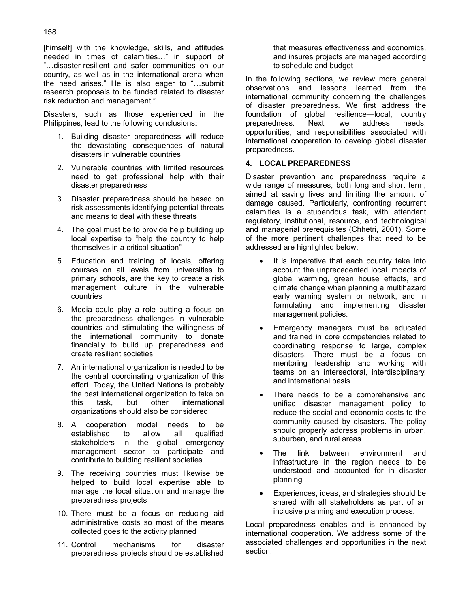[himself] with the knowledge, skills, and attitudes needed in times of calamities…" in support of "…disaster-resilient and safer communities on our country, as well as in the international arena when the need arises." He is also eager to "…submit research proposals to be funded related to disaster risk reduction and management."

Disasters, such as those experienced in the Philippines, lead to the following conclusions:

- 1. Building disaster preparedness will reduce the devastating consequences of natural disasters in vulnerable countries
- 2. Vulnerable countries with limited resources need to get professional help with their disaster preparedness
- 3. Disaster preparedness should be based on risk assessments identifying potential threats and means to deal with these threats
- 4. The goal must be to provide help building up local expertise to "help the country to help themselves in a critical situation"
- 5. Education and training of locals, offering courses on all levels from universities to primary schools, are the key to create a risk management culture in the vulnerable countries
- 6. Media could play a role putting a focus on the preparedness challenges in vulnerable countries and stimulating the willingness of the international community to donate financially to build up preparedness and create resilient societies
- 7. An international organization is needed to be the central coordinating organization of this effort. Today, the United Nations is probably the best international organization to take on this task, but other international organizations should also be considered
- 8. A cooperation model needs to be established to allow all qualified stakeholders in the global emergency management sector to participate and contribute to building resilient societies
- 9. The receiving countries must likewise be helped to build local expertise able to manage the local situation and manage the preparedness projects
- 10. There must be a focus on reducing aid administrative costs so most of the means collected goes to the activity planned
- 11. Control mechanisms for disaster preparedness projects should be established

that measures effectiveness and economics, and insures projects are managed according to schedule and budget

In the following sections, we review more general observations and lessons learned from the international community concerning the challenges of disaster preparedness. We first address the foundation of global resilience—local, country preparedness. Next, we address needs, opportunities, and responsibilities associated with international cooperation to develop global disaster preparedness.

## **4. LOCAL PREPAREDNESS**

Disaster prevention and preparedness require a wide range of measures, both long and short term, aimed at saving lives and limiting the amount of damage caused. Particularly, confronting recurrent calamities is a stupendous task, with attendant regulatory, institutional, resource, and technological and managerial prerequisites (Chhetri, 2001). Some of the more pertinent challenges that need to be addressed are highlighted below:

- It is imperative that each country take into account the unprecedented local impacts of global warming, green house effects, and climate change when planning a multihazard early warning system or network, and in formulating and implementing disaster management policies.
- Emergency managers must be educated and trained in core competencies related to coordinating response to large, complex disasters. There must be a focus on mentoring leadership and working with teams on an intersectoral, interdisciplinary, and international basis.
- There needs to be a comprehensive and unified disaster management policy to reduce the social and economic costs to the community caused by disasters. The policy should properly address problems in urban, suburban, and rural areas.
- The link between environment and infrastructure in the region needs to be understood and accounted for in disaster planning
- Experiences, ideas, and strategies should be shared with all stakeholders as part of an inclusive planning and execution process.

Local preparedness enables and is enhanced by international cooperation. We address some of the associated challenges and opportunities in the next section.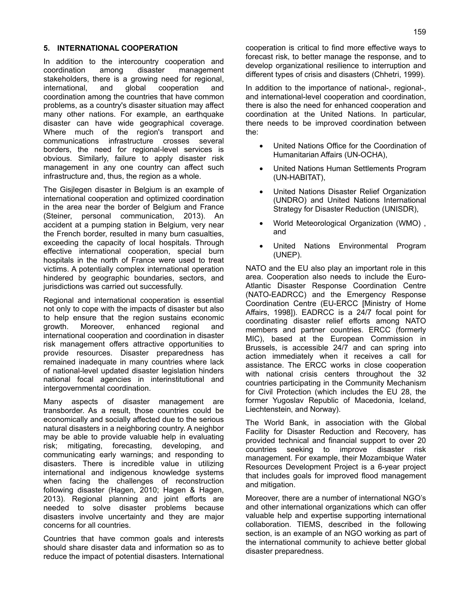# **5. INTERNATIONAL COOPERATION**

In addition to the intercountry cooperation and coordination among disaster management stakeholders, there is a growing need for regional, international, and global cooperation and coordination among the countries that have common problems, as a country's disaster situation may affect many other nations. For example, an earthquake disaster can have wide geographical coverage. Where much of the region's transport and communications infrastructure crosses several borders, the need for regional-level services is obvious. Similarly, failure to apply disaster risk management in any one country can affect such infrastructure and, thus, the region as a whole.

The Gisjlegen disaster in Belgium is an example of international cooperation and optimized coordination in the area near the border of Belgium and France (Steiner, personal communication, 2013). An accident at a pumping station in Belgium, very near the French border, resulted in many burn casualties, exceeding the capacity of local hospitals. Through effective international cooperation, special burn hospitals in the north of France were used to treat victims. A potentially complex international operation hindered by geographic boundaries, sectors, and jurisdictions was carried out successfully.

Regional and international cooperation is essential not only to cope with the impacts of disaster but also to help ensure that the region sustains economic growth. Moreover, enhanced regional and international cooperation and coordination in disaster risk management offers attractive opportunities to provide resources. Disaster preparedness has remained inadequate in many countries where lack of national-level updated disaster legislation hinders national focal agencies in interinstitutional and intergovernmental coordination.

Many aspects of disaster management are transborder. As a result, those countries could be economically and socially affected due to the serious natural disasters in a neighboring country. A neighbor may be able to provide valuable help in evaluating risk; mitigating, forecasting, developing, and communicating early warnings; and responding to disasters. There is incredible value in utilizing international and indigenous knowledge systems when facing the challenges of reconstruction following disaster (Hagen, 2010; Hagen & Hagen, 2013). Regional planning and joint efforts are needed to solve disaster problems because disasters involve uncertainty and they are major concerns for all countries.

Countries that have common goals and interests should share disaster data and information so as to reduce the impact of potential disasters. International

cooperation is critical to find more effective ways to forecast risk, to better manage the response, and to develop organizational resilience to interruption and different types of crisis and disasters (Chhetri, 1999).

In addition to the importance of national-, regional-, and international-level cooperation and coordination, there is also the need for enhanced cooperation and coordination at the United Nations. In particular, there needs to be improved coordination between the:

- United Nations Office for the Coordination of Humanitarian Affairs (UN-OCHA),
- United Nations Human Settlements Program (UN-HABITAT),
- United Nations Disaster Relief Organization (UNDRO) and United Nations International Strategy for Disaster Reduction (UNISDR),
- World Meteorological Organization (WMO) , and
- United Nations Environmental Program (UNEP).

NATO and the EU also play an important role in this area. Cooperation also needs to include the Euro-Atlantic Disaster Response Coordination Centre (NATO-EADRCC) and the Emergency Response Coordination Centre (EU-ERCC [Ministry of Home Affairs, 1998]). EADRCC is a 24/7 focal point for coordinating disaster relief efforts among NATO members and partner countries. ERCC (formerly MIC), based at the European Commission in Brussels, is accessible 24/7 and can spring into action immediately when it receives a call for assistance. The ERCC works in close cooperation with national crisis centers throughout the 32 countries participating in the Community Mechanism for Civil Protection (which includes the EU 28, the former Yugoslav Republic of Macedonia, Iceland, Liechtenstein, and Norway).

The World Bank, in association with the Global Facility for Disaster Reduction and Recovery, has provided technical and financial support to over 20 countries seeking to improve disaster risk management. For example, their Mozambique Water Resources Development Project is a 6-year project that includes goals for improved flood management and mitigation.

Moreover, there are a number of international NGO's and other international organizations which can offer valuable help and expertise supporting international collaboration. TIEMS, described in the following section, is an example of an NGO working as part of the international community to achieve better global disaster preparedness.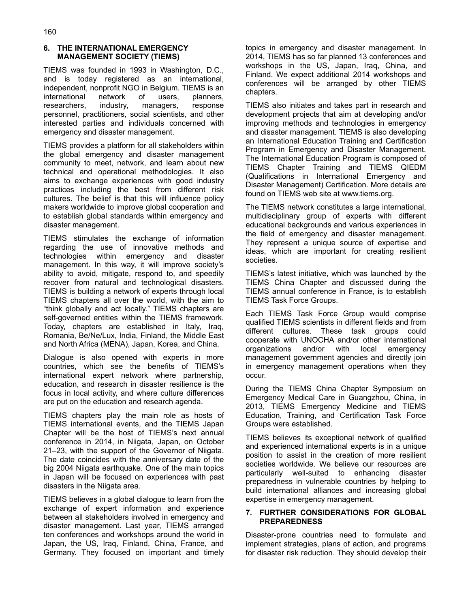## **6. THE INTERNATIONAL EMERGENCY MANAGEMENT SOCIETY (TIEMS)**

TIEMS was founded in 1993 in Washington, D.C., and is today registered as an international, independent, nonprofit NGO in Belgium. TIEMS is an international network of users, planners, researchers, industry, managers, response personnel, practitioners, social scientists, and other interested parties and individuals concerned with emergency and disaster management.

TIEMS provides a platform for all stakeholders within the global emergency and disaster management community to meet, network, and learn about new technical and operational methodologies. It also aims to exchange experiences with good industry practices including the best from different risk cultures. The belief is that this will influence policy makers worldwide to improve global cooperation and to establish global standards within emergency and disaster management.

TIEMS stimulates the exchange of information regarding the use of innovative methods and technologies within emergency and disaster management. In this way, it will improve society's ability to avoid, mitigate, respond to, and speedily recover from natural and technological disasters. TIEMS is building a network of experts through local TIEMS chapters all over the world, with the aim to "think globally and act locally." TIEMS chapters are self-governed entities within the TIEMS framework. Today, chapters are established in Italy, Iraq, Romania, Be/Ne/Lux, India, Finland, the Middle East and North Africa (MENA), Japan, Korea, and China.

Dialogue is also opened with experts in more countries, which see the benefits of TIEMS's international expert network where partnership, education, and research in disaster resilience is the focus in local activity, and where culture differences are put on the education and research agenda.

TIEMS chapters play the main role as hosts of TIEMS international events, and the TIEMS Japan Chapter will be the host of TIEMS's next annual conference in 2014, in Niigata, Japan, on October 21–23, with the support of the Governor of Niigata. The date coincides with the anniversary date of the big 2004 Niigata earthquake. One of the main topics in Japan will be focused on experiences with past disasters in the Niigata area.

TIEMS believes in a global dialogue to learn from the exchange of expert information and experience between all stakeholders involved in emergency and disaster management. Last year, TIEMS arranged ten conferences and workshops around the world in Japan, the US, Iraq, Finland, China, France, and Germany. They focused on important and timely

topics in emergency and disaster management. In 2014, TIEMS has so far planned 13 conferences and workshops in the US, Japan, Iraq, China, and Finland. We expect additional 2014 workshops and conferences will be arranged by other TIEMS chapters.

TIEMS also initiates and takes part in research and development projects that aim at developing and/or improving methods and technologies in emergency and disaster management. TIEMS is also developing an International Education Training and Certification Program in Emergency and Disaster Management. The International Education Program is composed of TIEMS Chapter Training and TIEMS QIEDM (Qualifications in International Emergency and Disaster Management) Certification. More details are found on TIEMS web site at www.tiems.org.

The TIEMS network constitutes a large international, multidisciplinary group of experts with different educational backgrounds and various experiences in the field of emergency and disaster management. They represent a unique source of expertise and ideas, which are important for creating resilient societies.

TIEMS's latest initiative, which was launched by the TIEMS China Chapter and discussed during the TIEMS annual conference in France, is to establish TIEMS Task Force Groups.

Each TIEMS Task Force Group would comprise qualified TIEMS scientists in different fields and from different cultures. These task groups could cooperate with UNOCHA and/or other international organizations and/or with local emergency management government agencies and directly join in emergency management operations when they occur.

During the TIEMS China Chapter Symposium on Emergency Medical Care in Guangzhou, China, in 2013, TIEMS Emergency Medicine and TIEMS Education, Training, and Certification Task Force Groups were established.

TIEMS believes its exceptional network of qualified and experienced international experts is in a unique position to assist in the creation of more resilient societies worldwide. We believe our resources are particularly well-suited to enhancing disaster preparedness in vulnerable countries by helping to build international alliances and increasing global expertise in emergency management.

# **7. FURTHER CONSIDERATIONS FOR GLOBAL PREPAREDNESS**

Disaster-prone countries need to formulate and implement strategies, plans of action, and programs for disaster risk reduction. They should develop their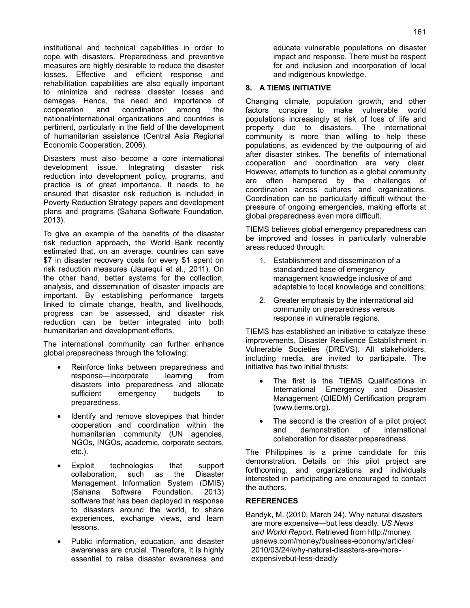institutional and technical capabilities in order to cope with disasters. Preparedness and preventive measures are highly desirable to reduce the disaster losses. Effective and efficient response and rehabilitation capabilities are also equally important to minimize and redress disaster losses and damages. Hence, the need and importance of cooperation and coordination among the national/international organizations and countries is pertinent, particularly in the field of the development of humanitarian assistance (Central Asia Regional Economic Cooperation, 2006).

Disasters must also become a core international development issue. Integrating disaster risk reduction into development policy, programs, and practice is of great importance. It needs to be ensured that disaster risk reduction is included in Poverty Reduction Strategy papers and development plans and programs (Sahana Software Foundation, 2013).

To give an example of the benefits of the disaster risk reduction approach, the World Bank recently estimated that, on an average, countries can save \$7 in disaster recovery costs for every \$1 spent on risk reduction measures (Jaurequi et al., 2011). On the other hand, better systems for the collection, analysis, and dissemination of disaster impacts are important. By establishing performance targets linked to climate change, health, and livelihoods, progress can be assessed, and disaster risk reduction can be better integrated into both humanitarian and development efforts.

The international community can further enhance global preparedness through the following:

- Reinforce links between preparedness and<br>response—incorporate learning from response—incorporate disasters into preparedness and allocate sufficient emergency budgets to preparedness.
- Identify and remove stovepipes that hinder cooperation and coordination within the humanitarian community (UN agencies, NGOs, INGOs, academic, corporate sectors, etc.).
- Exploit technologies that support collaboration, such as the Disaster Management Information System (DMIS) (Sahana Software Foundation, 2013) software that has been deployed in response to disasters around the world, to share experiences, exchange views, and learn lessons.
- Public information, education, and disaster awareness are crucial. Therefore, it is highly essential to raise disaster awareness and

educate vulnerable populations on disaster impact and response. There must be respect for and inclusion and incorporation of local and indigenous knowledge.

### **8. A TIEMS INITIATIVE**

Changing climate, population growth, and other factors conspire to make vulnerable world populations increasingly at risk of loss of life and property due to disasters. The international community is more than willing to help these populations, as evidenced by the outpouring of aid after disaster strikes. The benefits of international cooperation and coordination are very clear. However, attempts to function as a global community are often hampered by the challenges of coordination across cultures and organizations. Coordination can be particularly difficult without the pressure of ongoing emergencies, making efforts at global preparedness even more difficult.

TIEMS believes global emergency preparedness can be improved and losses in particularly vulnerable areas reduced through:

- 1. Establishment and dissemination of a standardized base of emergency management knowledge inclusive of and adaptable to local knowledge and conditions;
- 2. Greater emphasis by the international aid community on preparedness versus response in vulnerable regions.

TIEMS has established an initiative to catalyze these improvements, Disaster Resilience Establishment in Vulnerable Societies (DREVS). All stakeholders, including media, are invited to participate. The initiative has two initial thrusts:

- The first is the TIEMS Qualifications in International Emergency and Disaster Management (QIEDM) Certification program (www.tiems.org).
- The second is the creation of a pilot project and demonstration of international collaboration for disaster preparedness.

The Philippines is a prime candidate for this demonstration. Details on this pilot project are forthcoming, and organizations and individuals interested in participating are encouraged to contact the authors.

## **REFERENCES**

Bandyk, M. (2010, March 24). Why natural disasters are more expensive—but less deadly. *US News and World Report*. Retrieved from http://money. usnews.com/money/business-economy/articles/ 2010/03/24/why-natural-disasters-are-moreexpensivebut-less-deadly